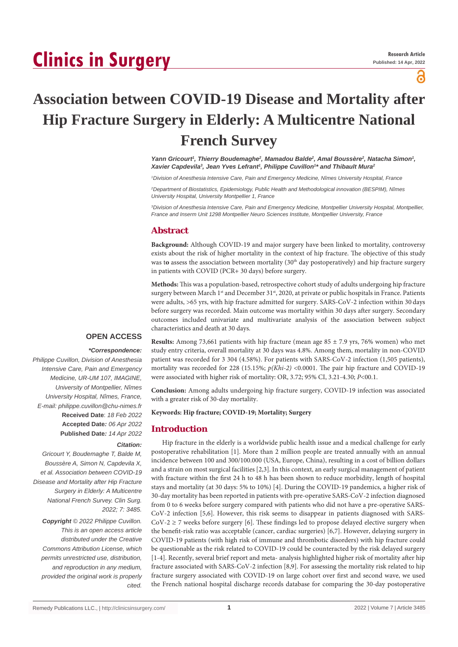# **Clinics in Surgery**

പ്പ

# **Association between COVID-19 Disease and Mortality after Hip Fracture Surgery in Elderly: A Multicentre National French Survey**

Yann Gricourt<sup>1</sup>, Thierry Boudemaghe<sup>2</sup>, Mamadou Balde<sup>2</sup>, Amal Boussère<sup>2</sup>, Natacha Simon<sup>1</sup>, Xavier Capdevila<sup>3</sup>, Jean Yves Lefrant<sup>1</sup>, Philippe Cuvillon<sup>1\*</sup> and Thibault Mura<sup>2</sup>

*1 Division of Anesthesia Intensive Care, Pain and Emergency Medicine, Nîmes University Hospital, France*

*2 Department of Biostatistics, Epidemiology, Public Health and Methodological innovation (BESPIM), Nîmes University Hospital, University Montpellier 1, France*

*3 Division of Anesthesia Intensive Care, Pain and Emergency Medicine, Montpellier University Hospital, Montpellier, France and Inserm Unit 1298 Montpellier Neuro Sciences Institute, Montpellier University, France*

# **Abstract**

**Background:** Although COVID-19 and major surgery have been linked to mortality, controversy exists about the risk of higher mortality in the context of hip fracture. The objective of this study was to assess the association between mortality (30<sup>th</sup> day postoperatively) and hip fracture surgery in patients with COVID (PCR+ 30 days) before surgery.

**Methods:** This was a population-based, retrospective cohort study of adults undergoing hip fracture surgery between March 1<sup>st</sup> and December 31<sup>st</sup>, 2020, at private or public hospitals in France. Patients were adults, >65 yrs, with hip fracture admitted for surgery. SARS-CoV-2 infection within 30 days before surgery was recorded. Main outcome was mortality within 30 days after surgery. Secondary outcomes included univariate and multivariate analysis of the association between subject characteristics and death at 30 days.

# **OPEN ACCESS**

# *\*Correspondence:*

*Philippe Cuvillon, Division of Anesthesia Intensive Care, Pain and Emergency Medicine, UR-UM 107, IMAGINE, University of Montpellier, Nîmes University Hospital, Nîmes, France, E-mail: philippe.cuvillon@chu-nimes.fr* **Received Date**: *18 Feb 2022* **Accepted Date***: 06 Apr 2022* **Published Date***: 14 Apr 2022*

# *Citation:*

*Gricourt Y, Boudemaghe T, Balde M, Boussère A, Simon N, Capdevila X, et al. Association between COVID-19 Disease and Mortality after Hip Fracture Surgery in Elderly: A Multicentre National French Survey. Clin Surg. 2022; 7: 3485.*

*Copyright © 2022 Philippe Cuvillon. This is an open access article distributed under the Creative Commons Attribution License, which permits unrestricted use, distribution, and reproduction in any medium, provided the original work is properly cited.*

**Results:** Among 73,661 patients with hip fracture (mean age 85 ± 7.9 yrs, 76% women) who met study entry criteria, overall mortality at 30 days was 4.8%. Among them, mortality in non-COVID patient was recorded for 3 304 (4.58%). For patients with SARS-CoV-2 infection (1,505 patients), mortality was recorded for 228 (15.15%;  $p(Khi-2)$  <0.0001. The pair hip fracture and COVID-19 were associated with higher risk of mortality: OR, 3.72; 95% CI, 3.21-4.30; *P*<00.1.

**Conclusion:** Among adults undergoing hip fracture surgery, COVID-19 infection was associated with a greater risk of 30-day mortality.

### **Keywords: Hip fracture; COVID-19; Mortality; Surgery**

# **Introduction**

Hip fracture in the elderly is a worldwide public health issue and a medical challenge for early postoperative rehabilitation [1]. More than 2 million people are treated annually with an annual incidence between 100 and 300/100.000 (USA, Europe, China), resulting in a cost of billion dollars and a strain on most surgical facilities [2,3]. In this context, an early surgical management of patient with fracture within the first 24 h to 48 h has been shown to reduce morbidity, length of hospital stays and mortality (at 30 days: 5% to 10%) [4]. During the COVID-19 pandemics, a higher risk of 30-day mortality has been reported in patients with pre-operative SARS-CoV-2 infection diagnosed from 0 to 6 weeks before surgery compared with patients who did not have a pre-operative SARS-CoV-2 infection [5,6]. However, this risk seems to disappear in patients diagnosed with SARS- $Cov-2 \ge 7$  weeks before surgery [6]. These findings led to propose delayed elective surgery when the benefit-risk ratio was acceptable (cancer, cardiac surgeries) [6,7]. However, delaying surgery in COVID-19 patients (with high risk of immune and thrombotic disorders) with hip fracture could be questionable as the risk related to COVID-19 could be counteracted by the risk delayed surgery [1-4]. Recently, several brief report and meta- analysis highlighted higher risk of mortality after hip fracture associated with SARS-CoV-2 infection [8,9]. For assessing the mortality risk related to hip fracture surgery associated with COVID-19 on large cohort over first and second wave, we used the French national hospital discharge records database for comparing the 30-day postoperative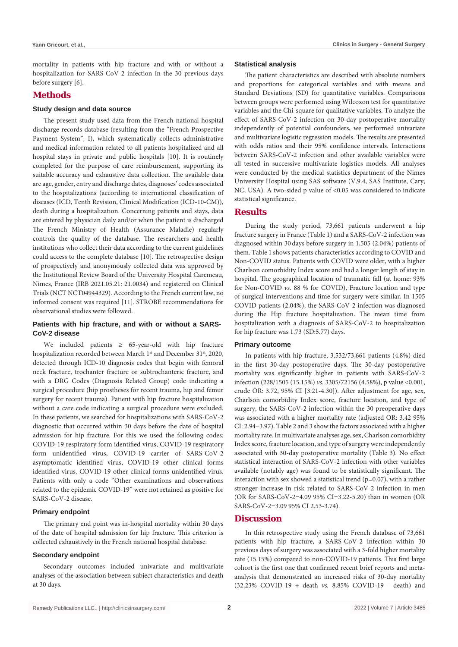mortality in patients with hip fracture and with or without a hospitalization for SARS-CoV-2 infection in the 30 previous days before surgery [6].

# **Methods**

#### **Study design and data source**

The present study used data from the French national hospital discharge records database (resulting from the "French Prospective Payment System", I), which systematically collects administrative and medical information related to all patients hospitalized and all hospital stays in private and public hospitals [10]. It is routinely completed for the purpose of care reimbursement, supporting its suitable accuracy and exhaustive data collection. The available data are age, gender, entry and discharge dates, diagnoses' codes associated to the hospitalizations (according to international classification of diseases (ICD, Tenth Revision, Clinical Modification (ICD-10-CM)), death during a hospitalization. Concerning patients and stays, data are entered by physician daily and/or when the patient is discharged The French Ministry of Health (Assurance Maladie) regularly controls the quality of the database. The researchers and health institutions who collect their data according to the current guidelines could access to the complete database [10]. The retrospective design of prospectively and anonymously collected data was approved by the Institutional Review Board of the University Hospital Caremeau, Nimes, France (IRB 2021.05.21: 21.0034) and registered on Clinical Trials (NCT NCT04944329). According to the French current law, no informed consent was required [11]. STROBE recommendations for observational studies were followed.

# **Patients with hip fracture, and with or without a SARS-CoV-2 disease**

We included patients  $\geq$  65-year-old with hip fracture hospitalization recorded between March 1<sup>st</sup> and December 31<sup>st</sup>, 2020, detected through ICD-10 diagnosis codes that begin with femoral neck fracture, trochanter fracture or subtrochanteric fracture, and with a DRG Codes (Diagnosis Related Group) code indicating a surgical procedure (hip prostheses for recent trauma, hip and femur surgery for recent trauma). Patient with hip fracture hospitalization without a care code indicating a surgical procedure were excluded. In these patients, we searched for hospitalizations with SARS-CoV-2 diagnostic that occurred within 30 days before the date of hospital admission for hip fracture. For this we used the following codes: COVID-19 respiratory form identified virus, COVID-19 respiratory form unidentified virus, COVID-19 carrier of SARS-CoV-2 asymptomatic identified virus, COVID-19 other clinical forms identified virus, COVID-19 other clinical forms unidentified virus. Patients with only a code "Other examinations and observations related to the epidemic COVID-19" were not retained as positive for SARS-CoV-2 disease.

#### **Primary endpoint**

The primary end point was in-hospital mortality within 30 days of the date of hospital admission for hip fracture. This criterion is collected exhaustively in the French national hospital database.

#### **Secondary endpoint**

Secondary outcomes included univariate and multivariate analyses of the association between subject characteristics and death at 30 days.

#### **Statistical analysis**

The patient characteristics are described with absolute numbers and proportions for categorical variables and with means and Standard Deviations (SD) for quantitative variables. Comparisons between groups were performed using Wilcoxon test for quantitative variables and the Chi-square for qualitative variables. To analyze the effect of SARS-CoV-2 infection on 30-day postoperative mortality independently of potential confounders, we performed univariate and multivariate logistic regression models. The results are presented with odds ratios and their 95% confidence intervals. Interactions between SARS-CoV-2 infection and other available variables were all tested in successive multivariate logistics models. All analyses were conducted by the medical statistics department of the Nimes University Hospital using SAS software (V.9.4, SAS Institute, Cary, NC, USA). A two-sided p value of <0.05 was considered to indicate statistical significance.

### **Results**

During the study period, 73,661 patients underwent a hip fracture surgery in France (Table 1) and a SARS-CoV-2 infection was diagnosed within 30 days before surgery in 1,505 (2.04%) patients of them. Table 1 shows patients characteristics according to COVID and Non-COVID status. Patients with COVID were older, with a higher Charlson comorbidity Index score and had a longer length of stay in hospital. The geographical location of traumatic fall (at home: 93% for Non-COVID *vs.* 88 % for COVID), Fracture location and type of surgical interventions and time for surgery were similar. In 1505 COVID patients (2.04%), the SARS-CoV-2 infection was diagnosed during the Hip fracture hospitalization. The mean time from hospitalization with a diagnosis of SARS-CoV-2 to hospitalization for hip fracture was 1.73 (SD:5.77) days.

#### **Primary outcome**

In patients with hip fracture, 3,532/73,661 patients (4.8%) died in the first 30-day postoperative days. The 30-day postoperative mortality was significantly higher in patients with SARS-CoV-2 infection (228/1505 (15.15%) *vs.* 3305/72156 (4.58%), p value <0.001, crude OR: 3.72, 95% CI [3.21-4.30]). After adjustment for age, sex, Charlson comorbidity Index score, fracture location, and type of surgery, the SARS-CoV-2 infection within the 30 preoperative days was associated with a higher mortality rate (adjusted OR: 3.42 95% CI: 2.94–3.97). Table 2 and 3 show the factors associated with a higher mortality rate. In multivariate analyses age, sex, Charlson comorbidity Index score, fracture location, and type of surgery were independently associated with 30-day postoperative mortality (Table 3). No effect statistical interaction of SARS-CoV-2 infection with other variables available (notably age) was found to be statistically significant. The interaction with sex showed a statistical trend ( $p=0.07$ ), with a rather stronger increase in risk related to SARS-CoV-2 infection in men (OR for SARS-CoV-2=4.09 95% CI=3.22-5.20) than in women (OR SARS-CoV-2=3.09 95% CI 2.53-3.74).

#### **Discussion**

In this retrospective study using the French database of 73,661 patients with hip fracture, a SARS-CoV-2 infection within 30 previous days of surgery was associated with a 3-fold higher mortality rate (15.15%) compared to non-COVID-19 patients. This first large cohort is the first one that confirmed recent brief reports and metaanalysis that demonstrated an increased risks of 30-day mortality (32.23% COVID-19 + death *vs.* 8.85% COVID-19 - death) and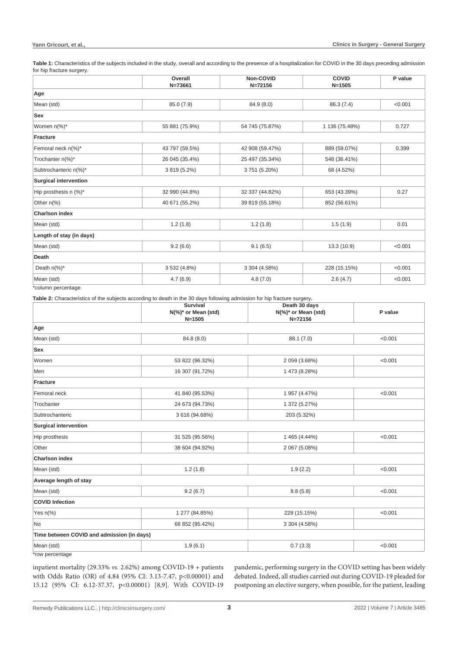Table 1: Characteristics of the subjects included in the study, overall and according to the presence of a hospitalization for COVID in the 30 days preceding admission for hip fracture surgery.

|                                   | Overall<br>$N = 73661$ | Non-COVID<br>$N = 72156$ | <b>COVID</b><br>$N = 1505$ | P value |
|-----------------------------------|------------------------|--------------------------|----------------------------|---------|
| Age                               |                        |                          |                            |         |
| Mean (std)                        | 85.0 (7.9)             | 84.9 (8.0)               | 86.3 (7.4)                 | < 0.001 |
| Sex                               |                        |                          |                            |         |
| Women n(%)*                       | 55 881 (75.9%)         | 54 745 (75.87%)          | 1 136 (75.48%)             | 0.727   |
| <b>Fracture</b>                   |                        |                          |                            |         |
| Femoral neck n(%)*                | 43 797 (59.5%)         | 42 908 (59.47%)          | 889 (59.07%)               | 0.399   |
| Trochanter n(%)*                  | 26 045 (35.4%)         | 25 497 (35.34%)          | 548 (36.41%)               |         |
| Subtrochanteric n(%)*             | 3 819 (5.2%)           | 3751 (5.20%)             | 68 (4.52%)                 |         |
| <b>Surgical intervention</b>      |                        |                          |                            |         |
| Hip prosthesis n (%)*             | 32 990 (44.8%)         | 32 337 (44.82%)          | 653 (43.39%)               | 0.27    |
| Other $n\frac{9}{6}$              | 40 671 (55.2%)         | 39 819 (55.18%)          | 852 (56.61%)               |         |
| <b>Charlson index</b>             |                        |                          |                            |         |
| Mean (std)                        | 1.2(1.8)               | 1.2(1.8)                 | 1.5(1.9)                   | 0.01    |
| Length of stay (in days)          |                        |                          |                            |         |
| Mean (std)                        | 9.2(6.6)               | 9.1(6.5)                 | 13.3 (10.9)                | < 0.001 |
| <b>Death</b>                      |                        |                          |                            |         |
| Death $n\frac{9}{6}$ <sup>*</sup> | 3 532 (4.8%)           | 3 304 (4.58%)            | 228 (15.15%)               | < 0.001 |
| Mean (std)                        | 4.7(6.9)               | 4.8(7.0)                 | 2.6(4.7)                   | < 0.001 |
| *column percentage                |                        |                          |                            |         |

**Table 2:** Characteristics of the subjects according to death in the 30 days following admission for hip fracture surgery**.**

|                                            | Survival<br>$N$ (%)* or Mean (std)<br>$N = 1505$ | Death 30 days<br>N(%)* or Mean (std)<br>N=72156 | P value |
|--------------------------------------------|--------------------------------------------------|-------------------------------------------------|---------|
| Age                                        |                                                  |                                                 |         |
| Mean (std)                                 | 84.8 (8.0)                                       | 88.1 (7.0)                                      | < 0.001 |
| Sex                                        |                                                  |                                                 |         |
| Women                                      | 53 822 (96.32%)                                  | 2 059 (3.68%)                                   | < 0.001 |
| Men                                        | 16 307 (91.72%)                                  | 1 473 (8.28%)                                   |         |
| Fracture                                   |                                                  |                                                 |         |
| Femoral neck                               | 41 840 (95.53%)                                  | 1 957 (4.47%)                                   | < 0.001 |
| Trochanter                                 | 24 673 (94.73%)                                  | 1 372 (5.27%)                                   |         |
| Subtrochanteric                            | 3 616 (94.68%)                                   | 203 (5.32%)                                     |         |
| <b>Surgical intervention</b>               |                                                  |                                                 |         |
| Hip prosthesis                             | 31 525 (95.56%)                                  | 1 465 (4.44%)                                   | < 0.001 |
| Other                                      | 38 604 (94.92%)                                  | 2 067 (5.08%)                                   |         |
| <b>Charlson index</b>                      |                                                  |                                                 |         |
| Mean (std)                                 | 1.2(1.8)                                         | 1.9(2.2)                                        | < 0.001 |
| Average length of stay                     |                                                  |                                                 |         |
| Mean (std)                                 | 9.2(6.7)                                         | 8.8(5.8)                                        | < 0.001 |
| <b>COVID Infection</b>                     |                                                  |                                                 |         |
| Yes $n\frac{9}{6}$                         | 1 277 (84.85%)                                   | 228 (15.15%)                                    | < 0.001 |
| No                                         | 68 852 (95.42%)                                  | 3 304 (4.58%)                                   |         |
| Time between COVID and admission (in days) |                                                  |                                                 |         |
| Mean (std)                                 | 1.9(6.1)                                         | 0.7(3.3)                                        | < 0.001 |
| $*$ row poroontogo                         |                                                  |                                                 |         |

\*row percentage

inpatient mortality (29.33% *vs.* 2.62%) among COVID-19 + patients with Odds Ratio (OR) of 4.84 (95% CI: 3.13-7.47, p<0.00001) and 15.12 (95% CI: 6.12-37.37, p<0.00001) [8,9]. With COVID-19 pandemic, performing surgery in the COVID setting has been widely debated. Indeed, all studies carried out during COVID-19 pleaded for postponing an elective surgery, when possible, for the patient, leading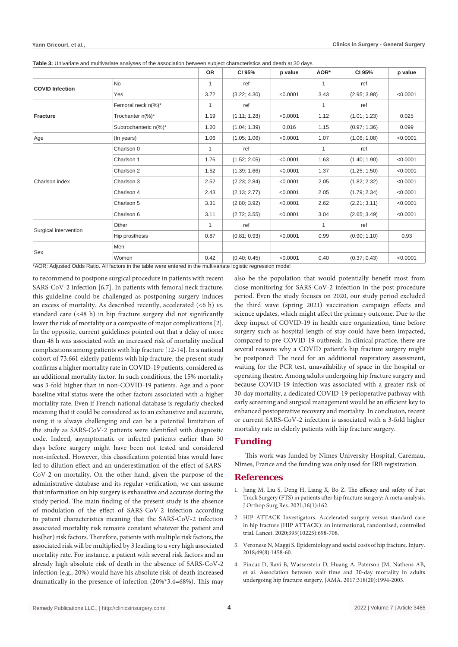|                                                                                                                |                       | <b>OR</b>    | CI 95%       | p value  | AOR* | CI 95%       | p value  |  |
|----------------------------------------------------------------------------------------------------------------|-----------------------|--------------|--------------|----------|------|--------------|----------|--|
| <b>COVID Infection</b>                                                                                         | <b>No</b>             | 1            | ref          |          | 1    | ref          |          |  |
|                                                                                                                | Yes                   | 3.72         | (3.22; 4.30) | < 0.0001 | 3.43 | (2.95; 3.98) | < 0.0001 |  |
| <b>Fracture</b>                                                                                                | Femoral neck n(%)*    | $\mathbf{1}$ | ref          |          | 1    | ref          |          |  |
|                                                                                                                | Trochanter n(%)*      | 1.19         | (1.11; 1.28) | < 0.0001 | 1.12 | (1.01; 1.23) | 0.025    |  |
|                                                                                                                | Subtrochanteric n(%)* | 1.20         | (1.04; 1.39) | 0.016    | 1.15 | (0.97; 1.36) | 0.099    |  |
| Age                                                                                                            | (In years)            | 1.06         | (1.05; 1.06) | < 0.0001 | 1.07 | (1.06; 1.08) | < 0.0001 |  |
| Charlson index                                                                                                 | Charlson 0            | 1            | ref          |          | 1    | ref          |          |  |
|                                                                                                                | Charlson 1            | 1.76         | (1.52; 2.05) | < 0.0001 | 1.63 | (1.40; 1.90) | < 0.0001 |  |
|                                                                                                                | Charlson 2            | 1.52         | (1.39; 1.66) | < 0.0001 | 1.37 | (1.25; 1.50) | < 0.0001 |  |
|                                                                                                                | Charlson 3            | 2.52         | (2.23; 2.84) | < 0.0001 | 2.05 | (1.82; 2.32) | < 0.0001 |  |
|                                                                                                                | Charlson 4            | 2.43         | (2.13; 2.77) | < 0.0001 | 2.05 | (1.79; 2.34) | < 0.0001 |  |
|                                                                                                                | Charlson 5            | 3.31         | (2.80; 3.92) | < 0.0001 | 2.62 | (2.21; 3.11) | < 0.0001 |  |
|                                                                                                                | Charlson 6            | 3.11         | (2.72; 3.55) | < 0.0001 | 3.04 | (2.65; 3.49) | < 0.0001 |  |
| Surgical intervention                                                                                          | Other                 | 1            | ref          |          | 1    | ref          |          |  |
|                                                                                                                | Hip prosthesis        | 0.87         | (0.81; 0.93) | < 0.0001 | 0.99 | (0.90; 1.10) | 0.93     |  |
| Sex                                                                                                            | Men                   |              |              |          |      |              |          |  |
|                                                                                                                | Women                 | 0.42         | (0.40; 0.45) | < 0.0001 | 0.40 | (0.37; 0.43) | < 0.0001 |  |
| *AOR: Adjusted Odds Ratio. All factors in the table were entered in the multivariate logistic regression model |                       |              |              |          |      |              |          |  |

**Table 3:** Univariate and multivariate analyses of the association between subject characteristics and death at 30 days.

to recommend to postpone surgical procedure in patients with recent SARS-CoV-2 infection [6,7]. In patients with femoral neck fracture, this guideline could be challenged as postponing surgery induces an excess of mortality. As described recently, accelerated (<6 h) *vs.* standard care (<48 h) in hip fracture surgery did not significantly lower the risk of mortality or a composite of major complications [2]. In the opposite, current guidelines pointed out that a delay of more than 48 h was associated with an increased risk of mortality medical complications among patients with hip fracture [12-14]. In a national cohort of 73.661 elderly patients with hip fracture, the present study confirms a higher mortality rate in COVID-19 patients, considered as an additional mortality factor. In such conditions, the 15% mortality was 3-fold higher than in non-COVID-19 patients. Age and a poor baseline vital status were the other factors associated with a higher mortality rate. Even if French national database is regularly checked meaning that it could be considered as to an exhaustive and accurate, using it is always challenging and can be a potential limitation of the study as SARS-CoV-2 patients were identified with diagnostic code. Indeed, asymptomatic or infected patients earlier than 30 days before surgery might have been not tested and considered non-infected. However, this classification potential bias would have led to dilution effect and an underestimation of the effect of SARS-CoV-2 on mortality. On the other hand, given the purpose of the administrative database and its regular verification, we can assume that information on hip surgery is exhaustive and accurate during the study period. The main finding of the present study is the absence of modulation of the effect of SARS-CoV-2 infection according to patient characteristics meaning that the SARS-CoV-2 infection associated mortality risk remains constant whatever the patient and his(her) risk factors. Therefore, patients with multiple risk factors, the associated risk will be multiplied by 3 leading to a very high associated mortality rate. For instance, a patient with several risk factors and an already high absolute risk of death in the absence of SARS-CoV-2 infection (e.g., 20%) would have his absolute risk of death increased dramatically in the presence of infection (20%\*3.4=68%). This may

also be the population that would potentially benefit most from close monitoring for SARS-CoV-2 infection in the post-procedure period. Even the study focuses on 2020, our study period excluded the third wave (spring 2021) vaccination campaign effects and science updates, which might affect the primary outcome. Due to the deep impact of COVID-19 in health care organization, time before surgery such as hospital length of stay could have been impacted, compared to pre-COVID-19 outbreak. In clinical practice, there are several reasons why a COVID patient's hip fracture surgery might be postponed: The need for an additional respiratory assessment, waiting for the PCR test, unavailability of space in the hospital or operating theatre. Among adults undergoing hip fracture surgery and because COVID-19 infection was associated with a greater risk of 30-day mortality, a dedicated COVID-19 perioperative pathway with early screening and surgical management would be an efficient key to enhanced postoperative recovery and mortality. In conclusion, recent or current SARS-CoV-2 infection is associated with a 3-fold higher mortality rate in elderly patients with hip fracture surgery.

# **Funding**

This work was funded by Nîmes University Hospital, Carémau, Nîmes, France and the funding was only used for IRB registration.

#### **References**

- 1. [Jiang M, Liu S, Deng H, Liang X, Bo Z. The efficacy and safety of Fast](https://pubmed.ncbi.nlm.nih.gov/33639957/)  [Track Surgery \(FTS\) in patients after hip fracture surgery: A meta-analysis.](https://pubmed.ncbi.nlm.nih.gov/33639957/)  [J Orthop Surg Res. 2021;16\(1\):162.](https://pubmed.ncbi.nlm.nih.gov/33639957/)
- 2. [HIP ATTACK Investigators. Accelerated surgery versus standard care](https://www.thelancet.com/journals/lancet/article/PIIS0140-6736(20)30058-1/fulltext)  [in hip fracture \(HIP ATTACK\): an international, randomised, controlled](https://www.thelancet.com/journals/lancet/article/PIIS0140-6736(20)30058-1/fulltext)  [trial. Lancet. 2020;395\(10225\):698-708.](https://www.thelancet.com/journals/lancet/article/PIIS0140-6736(20)30058-1/fulltext)
- 3. [Veronese N, Maggi S. Epidemiology and social costs of hip fracture. Injury.](https://pubmed.ncbi.nlm.nih.gov/29699731/)  [2018;49\(8\):1458-60.](https://pubmed.ncbi.nlm.nih.gov/29699731/)
- 4. [Pincus D, Ravi B, Wasserstein D, Huang A, Paterson JM, Nathens AB,](https://jamanetwork.com/journals/jama/fullarticle/2664460#:~:text=Conclusions-,Among adults undergoing hip fracture surgery%2C increased wait time was,a threshold defining higher risk.)  [et al. Association between wait time and 30-day mortality in adults](https://jamanetwork.com/journals/jama/fullarticle/2664460#:~:text=Conclusions-,Among adults undergoing hip fracture surgery%2C increased wait time was,a threshold defining higher risk.)  [undergoing hip fracture surgery. JAMA. 2017;318\(20\):1994-2003.](https://jamanetwork.com/journals/jama/fullarticle/2664460#:~:text=Conclusions-,Among adults undergoing hip fracture surgery%2C increased wait time was,a threshold defining higher risk.)